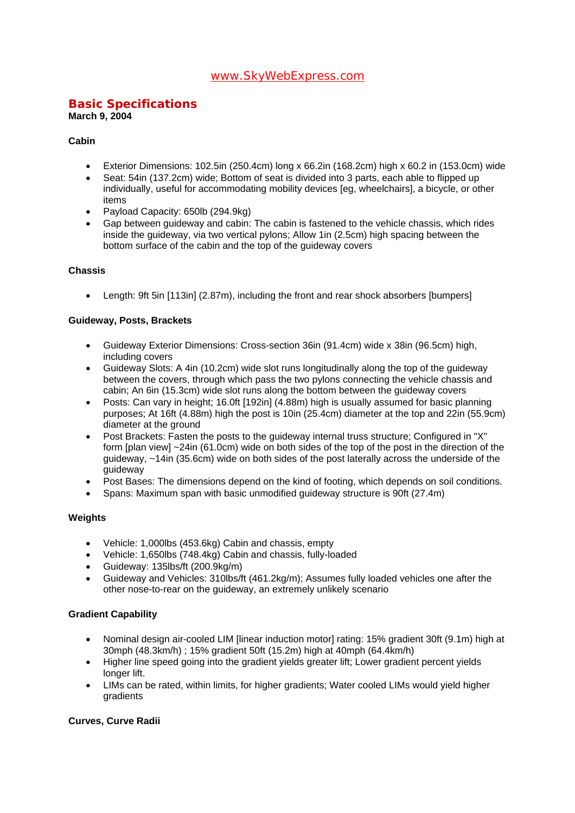# *www.SkyWebExpress.com*

# **Basic Specifications**

**March 9, 2004**

### **Cabin**

- Exterior Dimensions: 102.5in (250.4cm) long x 66.2in (168.2cm) high x 60.2 in (153.0cm) wide
- Seat: 54in (137.2cm) wide: Bottom of seat is divided into 3 parts, each able to flipped up individually, useful for accommodating mobility devices [eg, wheelchairs], a bicycle, or other items
- Payload Capacity: 650lb (294.9kg)
- Gap between guideway and cabin: The cabin is fastened to the vehicle chassis, which rides inside the guideway, via two vertical pylons; Allow 1in (2.5cm) high spacing between the bottom surface of the cabin and the top of the guideway covers

### **Chassis**

• Length: 9ft 5in [113in] (2.87m), including the front and rear shock absorbers [bumpers]

## **Guideway, Posts, Brackets**

- Guideway Exterior Dimensions: Cross-section 36in (91.4cm) wide x 38in (96.5cm) high, including covers
- Guideway Slots: A 4in (10.2cm) wide slot runs longitudinally along the top of the guideway between the covers, through which pass the two pylons connecting the vehicle chassis and cabin; An 6in (15.3cm) wide slot runs along the bottom between the guideway covers
- Posts: Can vary in height; 16.0ft [192in] (4.88m) high is usually assumed for basic planning purposes; At 16ft (4.88m) high the post is 10in (25.4cm) diameter at the top and 22in (55.9cm) diameter at the ground
- Post Brackets: Fasten the posts to the quideway internal truss structure; Configured in "X" form [plan view] ~24in (61.0cm) wide on both sides of the top of the post in the direction of the guideway, ~14in (35.6cm) wide on both sides of the post laterally across the underside of the guideway
- Post Bases: The dimensions depend on the kind of footing, which depends on soil conditions.
- Spans: Maximum span with basic unmodified guideway structure is 90ft (27.4m)

#### **Weights**

- Vehicle: 1,000lbs (453.6kg) Cabin and chassis, empty
- Vehicle: 1,650lbs (748.4kg) Cabin and chassis, fully-loaded
- Guideway: 135lbs/ft (200.9kg/m)
- Guideway and Vehicles: 310lbs/ft (461.2kg/m); Assumes fully loaded vehicles one after the other nose-to-rear on the guideway, an extremely unlikely scenario

## **Gradient Capability**

- Nominal design air-cooled LIM [linear induction motor] rating: 15% gradient 30ft (9.1m) high at 30mph (48.3km/h) ; 15% gradient 50ft (15.2m) high at 40mph (64.4km/h)
- Higher line speed going into the gradient yields greater lift; Lower gradient percent yields longer lift.
- LIMs can be rated, within limits, for higher gradients; Water cooled LIMs would yield higher gradients

## **Curves, Curve Radii**